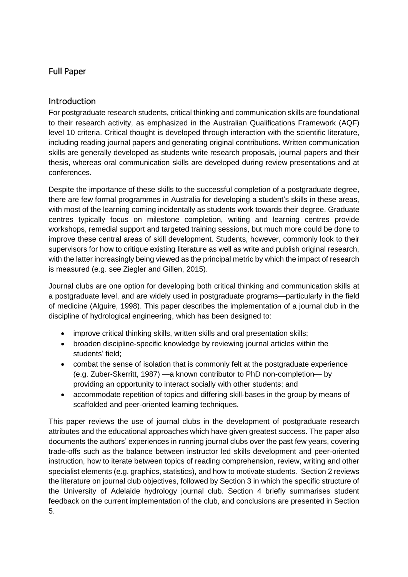# Full Paper

# Introduction

For postgraduate research students, critical thinking and communication skills are foundational to their research activity, as emphasized in the Australian Qualifications Framework (AQF) level 10 criteria. Critical thought is developed through interaction with the scientific literature, including reading journal papers and generating original contributions. Written communication skills are generally developed as students write research proposals, journal papers and their thesis, whereas oral communication skills are developed during review presentations and at conferences.

Despite the importance of these skills to the successful completion of a postgraduate degree, there are few formal programmes in Australia for developing a student's skills in these areas, with most of the learning coming incidentally as students work towards their degree. Graduate centres typically focus on milestone completion, writing and learning centres provide workshops, remedial support and targeted training sessions, but much more could be done to improve these central areas of skill development. Students, however, commonly look to their supervisors for how to critique existing literature as well as write and publish original research, with the latter increasingly being viewed as the principal metric by which the impact of research is measured (e.g. see Ziegler and Gillen, 2015).

Journal clubs are one option for developing both critical thinking and communication skills at a postgraduate level, and are widely used in postgraduate programs—particularly in the field of medicine (Alguire, 1998). This paper describes the implementation of a journal club in the discipline of hydrological engineering, which has been designed to:

- improve critical thinking skills, written skills and oral presentation skills;
- broaden discipline-specific knowledge by reviewing journal articles within the students' field;
- combat the sense of isolation that is commonly felt at the postgraduate experience (e.g. Zuber-Skerritt, 1987) —a known contributor to PhD non-completion— by providing an opportunity to interact socially with other students; and
- accommodate repetition of topics and differing skill-bases in the group by means of scaffolded and peer-oriented learning techniques.

This paper reviews the use of journal clubs in the development of postgraduate research attributes and the educational approaches which have given greatest success. The paper also documents the authors' experiences in running journal clubs over the past few years, covering trade-offs such as the balance between instructor led skills development and peer-oriented instruction, how to iterate between topics of reading comprehension, review, writing and other specialist elements (e.g. graphics, statistics), and how to motivate students. Section 2 reviews the literature on journal club objectives, followed by Section 3 in which the specific structure of the University of Adelaide hydrology journal club. Section 4 briefly summarises student feedback on the current implementation of the club, and conclusions are presented in Section 5.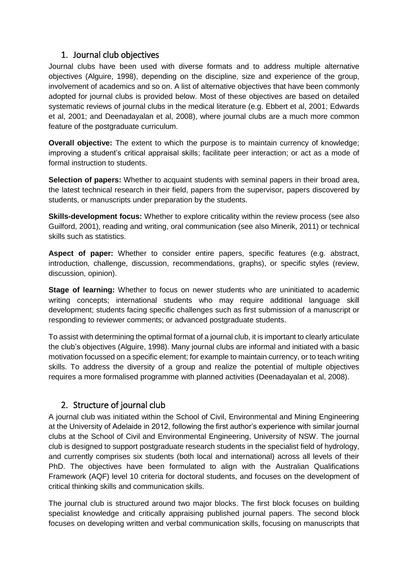### 1. Journal club objectives

Journal clubs have been used with diverse formats and to address multiple alternative objectives (Alguire, 1998), depending on the discipline, size and experience of the group, involvement of academics and so on. A list of alternative objectives that have been commonly adopted for journal clubs is provided below. Most of these objectives are based on detailed systematic reviews of journal clubs in the medical literature (e.g. Ebbert et al, 2001; Edwards et al, 2001; and Deenadayalan et al, 2008), where journal clubs are a much more common feature of the postgraduate curriculum.

**Overall objective:** The extent to which the purpose is to maintain currency of knowledge; improving a student's critical appraisal skills; facilitate peer interaction; or act as a mode of formal instruction to students.

**Selection of papers:** Whether to acquaint students with seminal papers in their broad area, the latest technical research in their field, papers from the supervisor, papers discovered by students, or manuscripts under preparation by the students.

**Skills-development focus:** Whether to explore criticality within the review process (see also Guilford, 2001), reading and writing, oral communication (see also Minerik, 2011) or technical skills such as statistics.

**Aspect of paper:** Whether to consider entire papers, specific features (e.g. abstract, introduction, challenge, discussion, recommendations, graphs), or specific styles (review, discussion, opinion).

**Stage of learning:** Whether to focus on newer students who are uninitiated to academic writing concepts; international students who may require additional language skill development; students facing specific challenges such as first submission of a manuscript or responding to reviewer comments; or advanced postgraduate students.

To assist with determining the optimal format of a journal club, it is important to clearly articulate the club's objectives (Alguire, 1998). Many journal clubs are informal and initiated with a basic motivation focussed on a specific element; for example to maintain currency, or to teach writing skills. To address the diversity of a group and realize the potential of multiple objectives requires a more formalised programme with planned activities (Deenadayalan et al, 2008).

# 2. Structure of journal club

A journal club was initiated within the School of Civil, Environmental and Mining Engineering at the University of Adelaide in 2012, following the first author's experience with similar journal clubs at the School of Civil and Environmental Engineering, University of NSW. The journal club is designed to support postgraduate research students in the specialist field of hydrology, and currently comprises six students (both local and international) across all levels of their PhD. The objectives have been formulated to align with the Australian Qualifications Framework (AQF) level 10 criteria for doctoral students, and focuses on the development of critical thinking skills and communication skills.

The journal club is structured around two major blocks. The first block focuses on building specialist knowledge and critically appraising published journal papers. The second block focuses on developing written and verbal communication skills, focusing on manuscripts that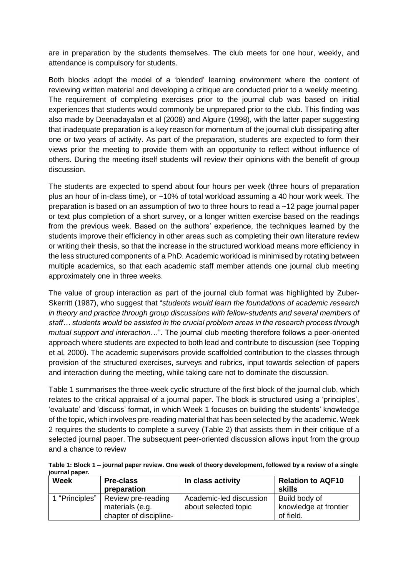are in preparation by the students themselves. The club meets for one hour, weekly, and attendance is compulsory for students.

Both blocks adopt the model of a 'blended' learning environment where the content of reviewing written material and developing a critique are conducted prior to a weekly meeting. The requirement of completing exercises prior to the journal club was based on initial experiences that students would commonly be unprepared prior to the club. This finding was also made by Deenadayalan et al (2008) and Alguire (1998), with the latter paper suggesting that inadequate preparation is a key reason for momentum of the journal club dissipating after one or two years of activity. As part of the preparation, students are expected to form their views prior the meeting to provide them with an opportunity to reflect without influence of others. During the meeting itself students will review their opinions with the benefit of group discussion.

The students are expected to spend about four hours per week (three hours of preparation plus an hour of in-class time), or ~10% of total workload assuming a 40 hour work week. The preparation is based on an assumption of two to three hours to read a ~12 page journal paper or text plus completion of a short survey, or a longer written exercise based on the readings from the previous week. Based on the authors' experience, the techniques learned by the students improve their efficiency in other areas such as completing their own literature review or writing their thesis, so that the increase in the structured workload means more efficiency in the less structured components of a PhD. Academic workload is minimised by rotating between multiple academics, so that each academic staff member attends one journal club meeting approximately one in three weeks.

The value of group interaction as part of the journal club format was highlighted by Zuber-Skerritt (1987), who suggest that "*students would learn the foundations of academic research in theory and practice through group discussions with fellow-students and several members of staff… students would be assisted in the crucial problem areas in the research process through mutual support and interaction*…". The journal club meeting therefore follows a peer-oriented approach where students are expected to both lead and contribute to discussion (see Topping et al, 2000). The academic supervisors provide scaffolded contribution to the classes through provision of the structured exercises, surveys and rubrics, input towards selection of papers and interaction during the meeting, while taking care not to dominate the discussion.

Table 1 summarises the three-week cyclic structure of the first block of the journal club, which relates to the critical appraisal of a journal paper. The block is structured using a 'principles', 'evaluate' and 'discuss' format, in which Week 1 focuses on building the students' knowledge of the topic, which involves pre-reading material that has been selected by the academic. Week 2 requires the students to complete a survey (Table 2) that assists them in their critique of a selected journal paper. The subsequent peer-oriented discussion allows input from the group and a chance to review

|                |  | Table 1: Block 1 – journal paper review. One week of theory development, followed by a review of a single |
|----------------|--|-----------------------------------------------------------------------------------------------------------|
| journal paper. |  |                                                                                                           |
|                |  |                                                                                                           |

| <b>Week</b>    | <b>Pre-class</b><br>preparation                                 | In class activity                               | <b>Relation to AQF10</b><br>skills                  |
|----------------|-----------------------------------------------------------------|-------------------------------------------------|-----------------------------------------------------|
| 1 "Principles" | Review pre-reading<br>materials (e.g.<br>chapter of discipline- | Academic-led discussion<br>about selected topic | Build body of<br>knowledge at frontier<br>of field. |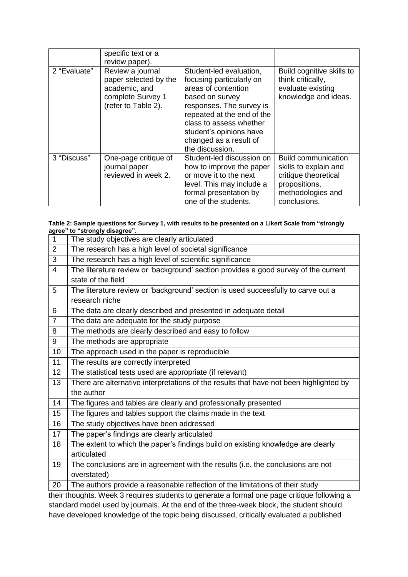|              | specific text or a<br>review paper).                                                                   |                                                                                                                                                                                                                                                            |                                                                                                                                   |
|--------------|--------------------------------------------------------------------------------------------------------|------------------------------------------------------------------------------------------------------------------------------------------------------------------------------------------------------------------------------------------------------------|-----------------------------------------------------------------------------------------------------------------------------------|
| 2 "Evaluate" | Review a journal<br>paper selected by the<br>academic, and<br>complete Survey 1<br>(refer to Table 2). | Student-led evaluation,<br>focusing particularly on<br>areas of contention<br>based on survey<br>responses. The survey is<br>repeated at the end of the<br>class to assess whether<br>student's opinions have<br>changed as a result of<br>the discussion. | Build cognitive skills to<br>think critically,<br>evaluate existing<br>knowledge and ideas.                                       |
| 3 "Discuss"  | One-page critique of<br>journal paper<br>reviewed in week 2.                                           | Student-led discussion on<br>how to improve the paper<br>or move it to the next<br>level. This may include a<br>formal presentation by<br>one of the students.                                                                                             | <b>Build communication</b><br>skills to explain and<br>critique theoretical<br>propositions,<br>methodologies and<br>conclusions. |

#### **Table 2: Sample questions for Survey 1, with results to be presented on a Likert Scale from "strongly agree" to "strongly disagree".**

| $\mathbf{1}$   | The study objectives are clearly articulated                                                |
|----------------|---------------------------------------------------------------------------------------------|
| $\overline{2}$ | The research has a high level of societal significance                                      |
| 3              | The research has a high level of scientific significance                                    |
| $\overline{4}$ | The literature review or 'background' section provides a good survey of the current         |
|                | state of the field                                                                          |
| 5              | The literature review or 'background' section is used successfully to carve out a           |
|                | research niche                                                                              |
| 6              | The data are clearly described and presented in adequate detail                             |
| $\overline{7}$ | The data are adequate for the study purpose                                                 |
| 8              | The methods are clearly described and easy to follow                                        |
| 9              | The methods are appropriate                                                                 |
| 10             | The approach used in the paper is reproducible                                              |
| 11             | The results are correctly interpreted                                                       |
| 12             | The statistical tests used are appropriate (if relevant)                                    |
| 13             | There are alternative interpretations of the results that have not been highlighted by      |
|                | the author                                                                                  |
| 14             | The figures and tables are clearly and professionally presented                             |
| 15             | The figures and tables support the claims made in the text                                  |
| 16             | The study objectives have been addressed                                                    |
| 17             | The paper's findings are clearly articulated                                                |
| 18             | The extent to which the paper's findings build on existing knowledge are clearly            |
|                | articulated                                                                                 |
| 19             | The conclusions are in agreement with the results (i.e. the conclusions are not             |
|                | overstated)                                                                                 |
| 20             | The authors provide a reasonable reflection of the limitations of their study               |
|                | their thoughts. Week 3 requires students to generate a formal one page critique following a |

their thoughts. Week 3 requires students to generate a formal one page critique following a standard model used by journals. At the end of the three-week block, the student should have developed knowledge of the topic being discussed, critically evaluated a published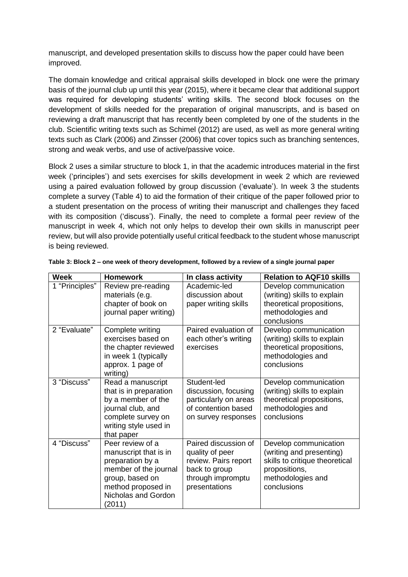manuscript, and developed presentation skills to discuss how the paper could have been improved.

The domain knowledge and critical appraisal skills developed in block one were the primary basis of the journal club up until this year (2015), where it became clear that additional support was required for developing students' writing skills. The second block focuses on the development of skills needed for the preparation of original manuscripts, and is based on reviewing a draft manuscript that has recently been completed by one of the students in the club. Scientific writing texts such as Schimel (2012) are used, as well as more general writing texts such as Clark (2006) and Zinsser (2006) that cover topics such as branching sentences, strong and weak verbs, and use of active/passive voice.

Block 2 uses a similar structure to block 1, in that the academic introduces material in the first week ('principles') and sets exercises for skills development in week 2 which are reviewed using a paired evaluation followed by group discussion ('evaluate'). In week 3 the students complete a survey (Table 4) to aid the formation of their critique of the paper followed prior to a student presentation on the process of writing their manuscript and challenges they faced with its composition ('discuss'). Finally, the need to complete a formal peer review of the manuscript in week 4, which not only helps to develop their own skills in manuscript peer review, but will also provide potentially useful critical feedback to the student whose manuscript is being reviewed.

| <b>Week</b>    | <b>Homework</b>                                                                                                                                                  | In class activity                                                                                                      | <b>Relation to AQF10 skills</b>                                                                                                          |
|----------------|------------------------------------------------------------------------------------------------------------------------------------------------------------------|------------------------------------------------------------------------------------------------------------------------|------------------------------------------------------------------------------------------------------------------------------------------|
| 1 "Principles" | Review pre-reading<br>materials (e.g.<br>chapter of book on<br>journal paper writing)                                                                            | Academic-led<br>discussion about<br>paper writing skills                                                               | Develop communication<br>(writing) skills to explain<br>theoretical propositions,<br>methodologies and<br>conclusions                    |
| 2 "Evaluate"   | Complete writing<br>exercises based on<br>the chapter reviewed<br>in week 1 (typically<br>approx. 1 page of<br>writing)                                          | Paired evaluation of<br>each other's writing<br>exercises                                                              | Develop communication<br>(writing) skills to explain<br>theoretical propositions,<br>methodologies and<br>conclusions                    |
| 3 "Discuss"    | Read a manuscript<br>that is in preparation<br>by a member of the<br>journal club, and<br>complete survey on<br>writing style used in<br>that paper              | Student-led<br>discussion, focusing<br>particularly on areas<br>of contention based<br>on survey responses             | Develop communication<br>(writing) skills to explain<br>theoretical propositions,<br>methodologies and<br>conclusions                    |
| 4 "Discuss"    | Peer review of a<br>manuscript that is in<br>preparation by a<br>member of the journal<br>group, based on<br>method proposed in<br>Nicholas and Gordon<br>(2011) | Paired discussion of<br>quality of peer<br>review. Pairs report<br>back to group<br>through impromptu<br>presentations | Develop communication<br>(writing and presenting)<br>skills to critique theoretical<br>propositions,<br>methodologies and<br>conclusions |

**Table 3: Block 2 – one week of theory development, followed by a review of a single journal paper**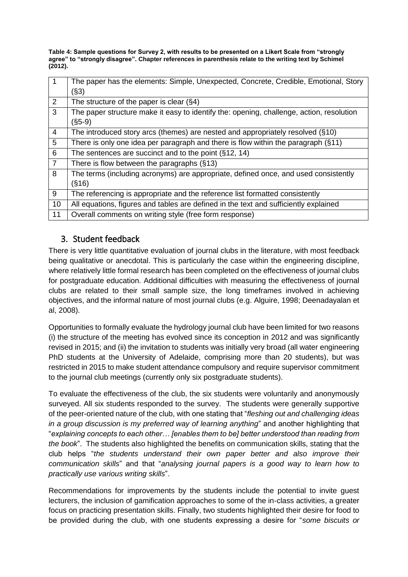**Table 4: Sample questions for Survey 2, with results to be presented on a Likert Scale from "strongly agree" to "strongly disagree". Chapter references in parenthesis relate to the writing text by Schimel (2012).** 

| $\mathbf 1$    | The paper has the elements: Simple, Unexpected, Concrete, Credible, Emotional, Story     |
|----------------|------------------------------------------------------------------------------------------|
|                | (S3)                                                                                     |
| 2              | The structure of the paper is clear $(\S4)$                                              |
| 3              | The paper structure make it easy to identify the: opening, challenge, action, resolution |
|                | (§5-9)                                                                                   |
| $\overline{4}$ | The introduced story arcs (themes) are nested and appropriately resolved (§10)           |
| 5              | There is only one idea per paragraph and there is flow within the paragraph (§11)        |
| 6              | The sentences are succinct and to the point $(\S12, 14)$                                 |
| $\overline{7}$ | There is flow between the paragraphs $(\S 13)$                                           |
| 8              | The terms (including acronyms) are appropriate, defined once, and used consistently      |
|                | (S16)                                                                                    |
| 9              | The referencing is appropriate and the reference list formatted consistently             |
| 10             | All equations, figures and tables are defined in the text and sufficiently explained     |
| 11             | Overall comments on writing style (free form response)                                   |

## 3. Student feedback

There is very little quantitative evaluation of journal clubs in the literature, with most feedback being qualitative or anecdotal. This is particularly the case within the engineering discipline, where relatively little formal research has been completed on the effectiveness of journal clubs for postgraduate education. Additional difficulties with measuring the effectiveness of journal clubs are related to their small sample size, the long timeframes involved in achieving objectives, and the informal nature of most journal clubs (e.g. Alguire, 1998; Deenadayalan et al, 2008).

Opportunities to formally evaluate the hydrology journal club have been limited for two reasons (i) the structure of the meeting has evolved since its conception in 2012 and was significantly revised in 2015; and (ii) the invitation to students was initially very broad (all water engineering PhD students at the University of Adelaide, comprising more than 20 students), but was restricted in 2015 to make student attendance compulsory and require supervisor commitment to the journal club meetings (currently only six postgraduate students).

To evaluate the effectiveness of the club, the six students were voluntarily and anonymously surveyed. All six students responded to the survey. The students were generally supportive of the peer-oriented nature of the club, with one stating that "*fleshing out and challenging ideas in a group discussion is my preferred way of learning anything*" and another highlighting that "*explaining concepts to each other… [enables them to be] better understood than reading from the book*". The students also highlighted the benefits on communication skills, stating that the club helps "*the students understand their own paper better and also improve their communication skills*" and that "*analysing journal papers is a good way to learn how to practically use various writing skills*".

Recommendations for improvements by the students include the potential to invite guest lecturers, the inclusion of gamification approaches to some of the in-class activities, a greater focus on practicing presentation skills. Finally, two students highlighted their desire for food to be provided during the club, with one students expressing a desire for "*some biscuits or*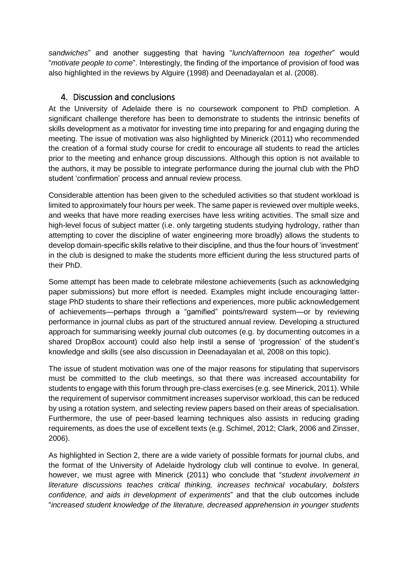*sandwiches*" and another suggesting that having "*lunch/afternoon tea together*" would "*motivate people to come*". Interestingly, the finding of the importance of provision of food was also highlighted in the reviews by Alguire (1998) and Deenadayalan et al. (2008).

## 4. Discussion and conclusions

At the University of Adelaide there is no coursework component to PhD completion. A significant challenge therefore has been to demonstrate to students the intrinsic benefits of skills development as a motivator for investing time into preparing for and engaging during the meeting. The issue of motivation was also highlighted by Minerick (2011) who recommended the creation of a formal study course for credit to encourage all students to read the articles prior to the meeting and enhance group discussions. Although this option is not available to the authors, it may be possible to integrate performance during the journal club with the PhD student 'confirmation' process and annual review process.

Considerable attention has been given to the scheduled activities so that student workload is limited to approximately four hours per week. The same paper is reviewed over multiple weeks, and weeks that have more reading exercises have less writing activities. The small size and high-level focus of subject matter (i.e. only targeting students studying hydrology, rather than attempting to cover the discipline of water engineering more broadly) allows the students to develop domain-specific skills relative to their discipline, and thus the four hours of 'investment' in the club is designed to make the students more efficient during the less structured parts of their PhD.

Some attempt has been made to celebrate milestone achievements (such as acknowledging paper submissions) but more effort is needed. Examples might include encouraging latterstage PhD students to share their reflections and experiences, more public acknowledgement of achievements—perhaps through a "gamified" points/reward system—or by reviewing performance in journal clubs as part of the structured annual review. Developing a structured approach for summarising weekly journal club outcomes (e.g. by documenting outcomes in a shared DropBox account) could also help instil a sense of 'progression' of the student's knowledge and skills (see also discussion in Deenadayalan et al, 2008 on this topic).

The issue of student motivation was one of the major reasons for stipulating that supervisors must be committed to the club meetings, so that there was increased accountability for students to engage with this forum through pre-class exercises (e.g. see Minerick, 2011). While the requirement of supervisor commitment increases supervisor workload, this can be reduced by using a rotation system, and selecting review papers based on their areas of specialisation. Furthermore, the use of peer-based learning techniques also assists in reducing grading requirements, as does the use of excellent texts (e.g. Schimel, 2012; Clark, 2006 and Zinsser, 2006).

As highlighted in Section 2, there are a wide variety of possible formats for journal clubs, and the format of the University of Adelaide hydrology club will continue to evolve. In general, however, we must agree with Minerick (2011) who conclude that "*student involvement in literature discussions teaches critical thinking, increases technical vocabulary, bolsters confidence, and aids in development of experiments*" and that the club outcomes include "*increased student knowledge of the literature, decreased apprehension in younger students*